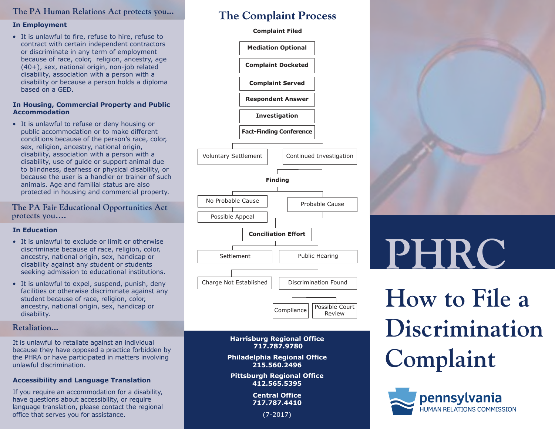### **The PA Human Relations Act protects you...**

### **In Employment**

• It is unlawful to fire, refuse to hire, refuse to contract with certain independent contractors or discriminate in any term of employment because of race, color, religion, ancestry, age (40+), sex, national origin, non-job related disability, association with a person with a disability or because a person holds a diploma based on a GED.

### **In Housing, Commercial Property and Public Accommodation**

• It is unlawful to refuse or deny housing or public accommodation or to make different conditions because of the person's race, color, sex, religion, ancestry, national origin, disability, association with a person with a disability, use of guide or support animal due to blindness, deafness or physical disability, or because the user is a handler or trainer of such animals. Age and familial status are also protected in housing and commercial property.

### **The PA Fair Educational Opportunities Act protects you….**

### **In Education**

- It is unlawful to exclude or limit or otherwise discriminate because of race, religion, color, ancestry, national origin, sex, handicap or disability against any student or students seeking admission to educational institutions.
- It is unlawful to expel, suspend, punish, deny facilities or otherwise discriminate against any student because of race, religion, color, ancestry, national origin, sex, handicap or disability.

### **Retaliation...**

It is unlawful to retaliate against an individual because they have opposed a practice forbidden by the PHRA or have participated in matters involving unlawful discrimination.

### **Accessibility and Language Translation**

If you require an accommodation for a disability, have questions about accessibility, or require language translation, please contact the regional office that serves you for assistance.

### **The Complaint Process**



### **Harrisburg Regional Office 717.787.9780**

**Philadelphia Regional Office 215.560.2496**

**Pittsburgh Regional Office 412.565.5395**

> **Central Office 717.787.4410**

> > (7-2017)



# **PHRC**

## **How to File a Discrimination Complaint**